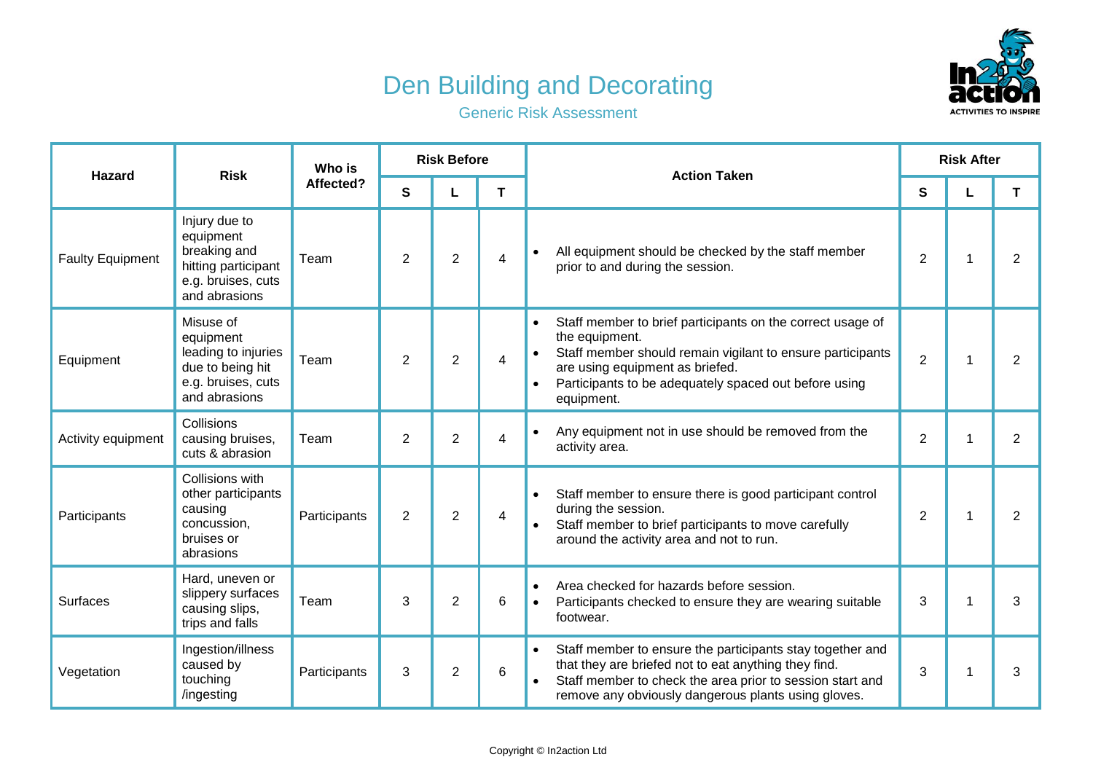## Den Building and Decorating



Generic Risk Assessment

| <b>Hazard</b>           | <b>Risk</b>                                                                                              | Who is<br>Affected? | <b>Risk Before</b> |                |   | <b>Action Taken</b>                                                                                                                                                                                                                                                            | <b>Risk After</b> |   |                |  |
|-------------------------|----------------------------------------------------------------------------------------------------------|---------------------|--------------------|----------------|---|--------------------------------------------------------------------------------------------------------------------------------------------------------------------------------------------------------------------------------------------------------------------------------|-------------------|---|----------------|--|
|                         |                                                                                                          |                     | S                  |                | T |                                                                                                                                                                                                                                                                                | S                 |   | T              |  |
| <b>Faulty Equipment</b> | Injury due to<br>equipment<br>breaking and<br>hitting participant<br>e.g. bruises, cuts<br>and abrasions | Team                | 2                  | $\overline{2}$ | 4 | All equipment should be checked by the staff member<br>$\bullet$<br>prior to and during the session.                                                                                                                                                                           | $\overline{2}$    | 1 | 2              |  |
| Equipment               | Misuse of<br>equipment<br>leading to injuries<br>due to being hit<br>e.g. bruises, cuts<br>and abrasions | Team                | $\overline{2}$     | $\overline{2}$ | 4 | Staff member to brief participants on the correct usage of<br>$\bullet$<br>the equipment.<br>Staff member should remain vigilant to ensure participants<br>$\bullet$<br>are using equipment as briefed.<br>Participants to be adequately spaced out before using<br>equipment. | $\overline{2}$    |   | $\overline{2}$ |  |
| Activity equipment      | Collisions<br>causing bruises,<br>cuts & abrasion                                                        | Team                | 2                  | $\overline{2}$ | 4 | Any equipment not in use should be removed from the<br>$\bullet$<br>activity area.                                                                                                                                                                                             | $\overline{2}$    |   | 2              |  |
| Participants            | Collisions with<br>other participants<br>causing<br>concussion,<br>bruises or<br>abrasions               | Participants        | $\overline{2}$     | $\overline{2}$ | 4 | Staff member to ensure there is good participant control<br>during the session.<br>Staff member to brief participants to move carefully<br>around the activity area and not to run.                                                                                            | $\overline{2}$    |   | $\overline{2}$ |  |
| <b>Surfaces</b>         | Hard, uneven or<br>slippery surfaces<br>causing slips,<br>trips and falls                                | Team                | 3                  | $\overline{2}$ | 6 | Area checked for hazards before session.<br>$\bullet$<br>Participants checked to ensure they are wearing suitable<br>$\bullet$<br>footwear.                                                                                                                                    | 3                 | 1 | 3              |  |
| Vegetation              | Ingestion/illness<br>caused by<br>touching<br>/ingesting                                                 | Participants        | 3                  | $\overline{2}$ | 6 | Staff member to ensure the participants stay together and<br>$\bullet$<br>that they are briefed not to eat anything they find.<br>Staff member to check the area prior to session start and<br>remove any obviously dangerous plants using gloves.                             | 3                 |   | 3              |  |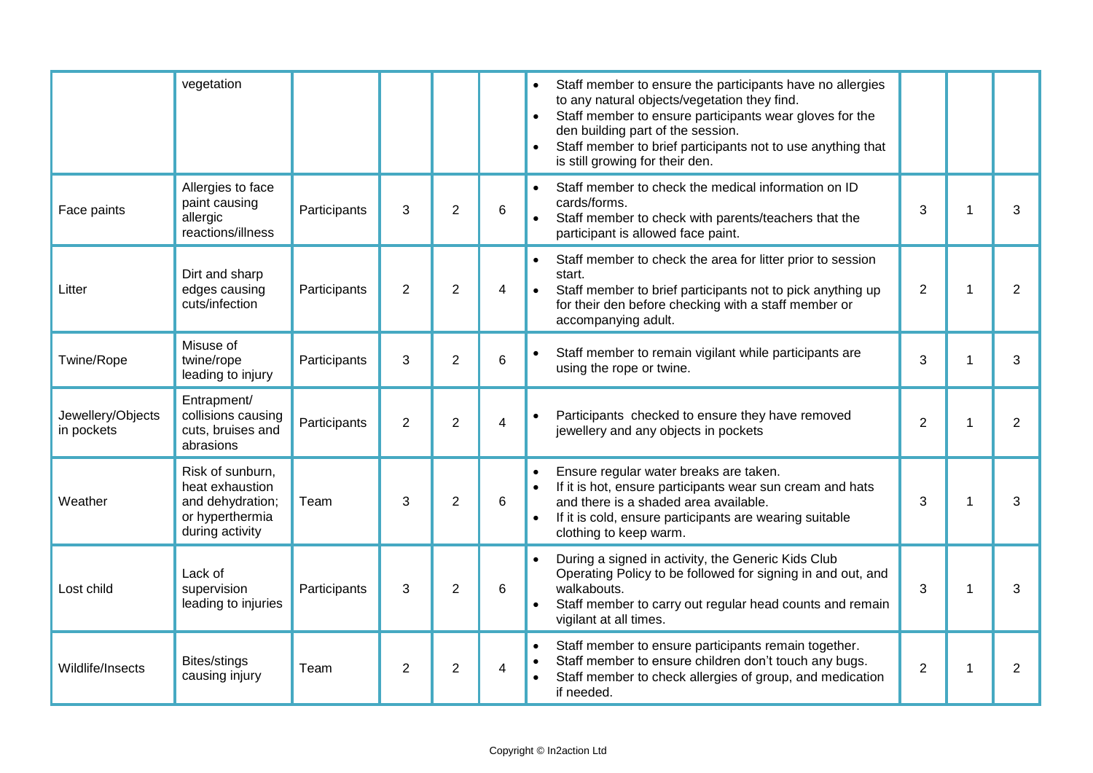|                                 | vegetation                                                                                    |              |                |                |                         | Staff member to ensure the participants have no allergies<br>to any natural objects/vegetation they find.<br>Staff member to ensure participants wear gloves for the<br>den building part of the session.<br>Staff member to brief participants not to use anything that<br>is still growing for their den. |                |
|---------------------------------|-----------------------------------------------------------------------------------------------|--------------|----------------|----------------|-------------------------|-------------------------------------------------------------------------------------------------------------------------------------------------------------------------------------------------------------------------------------------------------------------------------------------------------------|----------------|
| Face paints                     | Allergies to face<br>paint causing<br>allergic<br>reactions/illness                           | Participants | 3              | $\overline{2}$ | 6                       | Staff member to check the medical information on ID<br>$\bullet$<br>cards/forms.<br>3<br>Staff member to check with parents/teachers that the<br>participant is allowed face paint.                                                                                                                         | 3              |
| Litter                          | Dirt and sharp<br>edges causing<br>cuts/infection                                             | Participants | $\overline{2}$ | $\overline{2}$ | 4                       | Staff member to check the area for litter prior to session<br>start.<br>$\overline{2}$<br>Staff member to brief participants not to pick anything up<br>1<br>for their den before checking with a staff member or<br>accompanying adult.                                                                    | $\overline{2}$ |
| Twine/Rope                      | Misuse of<br>twine/rope<br>leading to injury                                                  | Participants | 3              | $\overline{2}$ | 6                       | Staff member to remain vigilant while participants are<br>3<br>1<br>using the rope or twine.                                                                                                                                                                                                                | 3              |
| Jewellery/Objects<br>in pockets | Entrapment/<br>collisions causing<br>cuts, bruises and<br>abrasions                           | Participants | $\overline{2}$ | $\overline{2}$ | $\overline{\mathbf{4}}$ | Participants checked to ensure they have removed<br>$\overline{2}$<br>jewellery and any objects in pockets                                                                                                                                                                                                  | $\overline{2}$ |
| Weather                         | Risk of sunburn.<br>heat exhaustion<br>and dehydration;<br>or hyperthermia<br>during activity | Team         | 3              | $\overline{2}$ | 6                       | Ensure regular water breaks are taken.<br>If it is hot, ensure participants wear sun cream and hats<br>3<br>and there is a shaded area available.<br>1<br>If it is cold, ensure participants are wearing suitable<br>clothing to keep warm.                                                                 | 3              |
| Lost child                      | Lack of<br>supervision<br>leading to injuries                                                 | Participants | 3              | $\overline{2}$ | 6                       | During a signed in activity, the Generic Kids Club<br>Operating Policy to be followed for signing in and out, and<br>walkabouts.<br>3<br>1<br>Staff member to carry out regular head counts and remain<br>vigilant at all times.                                                                            | 3              |
| Wildlife/Insects                | Bites/stings<br>causing injury                                                                | Team         | $\overline{2}$ | $\overline{2}$ | 4                       | Staff member to ensure participants remain together.<br>Staff member to ensure children don't touch any bugs.<br>$\overline{2}$<br>Staff member to check allergies of group, and medication<br>if needed.                                                                                                   | 2              |